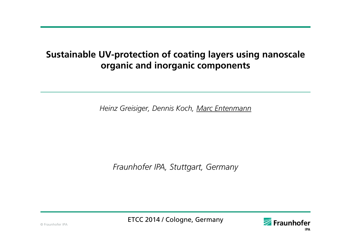# **Sustainable UV-protection of coating layers using nanoscale organic and inorganic components**

*Heinz Greisiger, Dennis Koch, Marc Entenmann* 

*Fraunhofer IPA, Stuttgart, Germany*

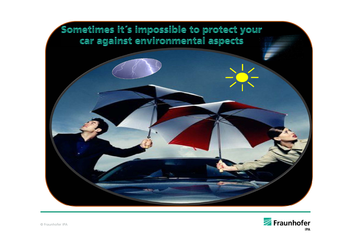

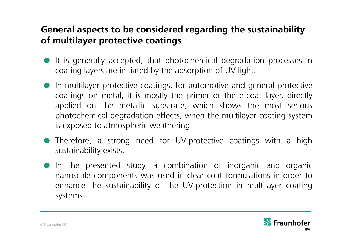# **General aspects to be considered regarding the sustainability of multilayer protective coatings**

- It is generally accepted, that photochemical degradation processes in coating layers are initiated by the absorption of UV light.
- In multilayer protective coatings, for automotive and general protective coatings on metal, it is mostly the primer or the e-coat layer, directly applied on the metallic substrate, which shows the most serious photochemical degradation effects, when the multilayer coating system is exposed to atmospheric weathering.
- Therefore, <sup>a</sup> strong need for UV-protective coatings with <sup>a</sup> high sustainability exists.
- In the presented study, <sup>a</sup> combination of inorganic and organic nanoscale components was used in clear coat formulations in order to enhance the sustainability of the UV-protection in multilayer coating systems.

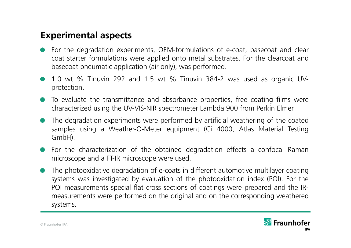# **Experimental aspects**

- $\bullet$  For the degradation experiments, OEM-formulations of e-coat, basecoat and clear coat starter formulations were applied onto metal substrates. For the clearcoat and basecoat pneumatic application (air-only), was performed.
- $\bullet$  1.0 wt % Tinuvin 292 and 1.5 wt % Tinuvin 384-2 was used as organic UVprotection.
- $\bullet$  To evaluate the transmittance and absorbance properties, free coating films were characterized using the UV-VIS-NIR spectrometer Lambda 900 from Perkin Elmer.
- $\bullet$  The degradation experiments were performed by artificial weathering of the coated samples using <sup>a</sup> Weather-O-Meter equipment (Ci 4000, Atlas Material Testing GmbH).
- $\bullet$  For the characterization of the obtained degradation effects <sup>a</sup> confocal Raman microscope and <sup>a</sup> FT-IR microscope were used.
- $\bullet$  The photooxidative degradation of e-coats in different automotive multilayer coating systems was investigated by evaluation of the photooxidation index (POI). For the POI measurements special flat cross sections of coatings were prepared and the IRmeasurements were performed on the original and on the corresponding weathered systems.

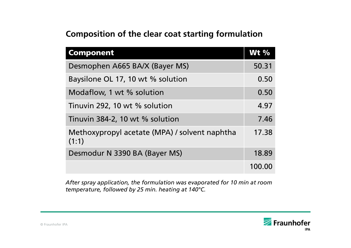# **Composition of the clear coat starting formulation**

| <b>Component</b>                                       | <b>Wt %</b> |
|--------------------------------------------------------|-------------|
| Desmophen A665 BA/X (Bayer MS)                         | 50.31       |
| Baysilone OL 17, 10 wt % solution                      |             |
| Modaflow, 1 wt % solution                              |             |
| Tinuvin 292, 10 wt % solution                          |             |
| Tinuvin 384-2, 10 wt % solution                        |             |
| Methoxypropyl acetate (MPA) / solvent naphtha<br>(1:1) |             |
| Desmodur N 3390 BA (Bayer MS)                          |             |
|                                                        | 100.00      |

*After spray application, the formulation was evaporated for 10 min at room temperature, followed by 25 min. heating at 140°C.*

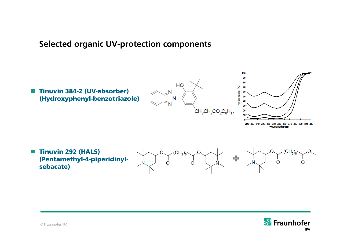### **Selected organic UV-protection components**



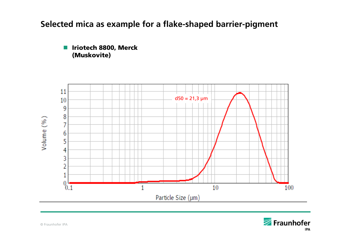## **Selected mica as example for a flake-shaped barrier-pigment**





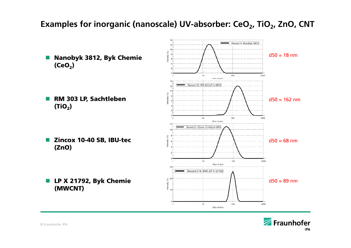# Examples for inorganic (nanoscale) UV-absorber: CeO<sub>2</sub>, TiO<sub>2</sub>, ZnO, CNT

Record 4: Nanobyk 3812  $d50 = 18$  nm ■ Nanobyk 3812, Byk Chemie  $(CeO<sub>2</sub>)$  $10$ 100 1000 Size (d.nm) Record 10: RM 303 LP in MPA ■ RM 303 LP, Sachtleben  $d50 = 162$  nm  $(TiO<sub>2</sub>)$  $10$ 100 1000 Size (d.nm) Record 21: Zincox 10-40sb in MPA **Zincox 10-40 SB, IBU-tec**  $d50 = 68$  nm (ZnO) 10 100 1000 Size (d.nm) Record 219: BYK-LP X 21792  $\frac{1}{\sqrt{2}}$  20  $d50 = 89$  nm **LP X 21792, Byk Chemie**  $nsity$ (MWCNT)  $10$ 100 1000

Size (d.nm)

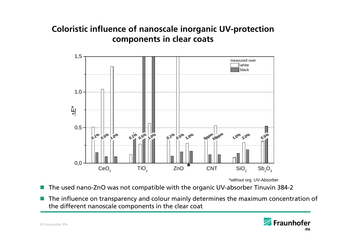# **Coloristic influence of nanoscale inorganic UV-protection components in clear coats**



\*without org. UV-Absorber

- $\mathcal{L}(\mathcal{A})$ The used nano-ZnO was not compatible with the organic UV-absorber Tinuvin 384-2
- **COL**  The influence on transparency and colour mainly determines the maximum concentration of the different nanoscale components in the clear coat

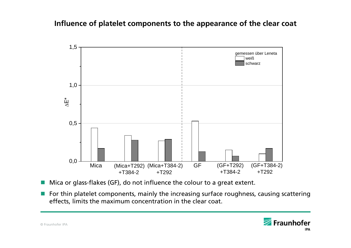#### **Influence of platelet components to the appearance of the clear coat**



- $\blacksquare$  Mica or glass-flakes (GF), do not influence the colour to a great extent.
- **Fig. 2** For thin platelet components, mainly the increasing surface roughness, causing scattering effects, limits the maximum concentration in the clear coat.

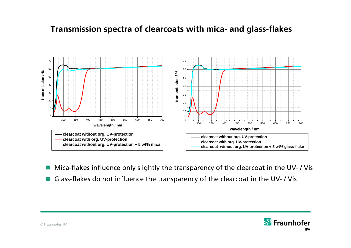### **Transmission spectra of clearcoats with mica- and glass-flakes**



- $\mathcal{L}(\mathcal{A})$ Mica-flakes influence only slightly the transparency of the clearcoat in the UV- / Vis
- **Glass-flakes do not influence the transparency of the clearcoat in the UV-/Vis**

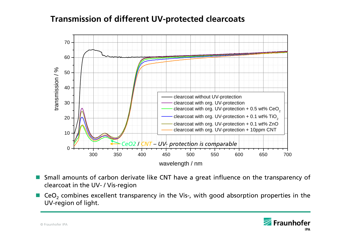### **Transmission of different UV-protected clearcoats**



- Г Small amounts of carbon derivate like CNT have <sup>a</sup> great influence on the transparency of clearcoat in the UV- / Vis-region
- Г  $\blacksquare$  CeO<sub>2</sub> combines excellent transparency in the Vis-, with good absorption properties in the UV-region of light.

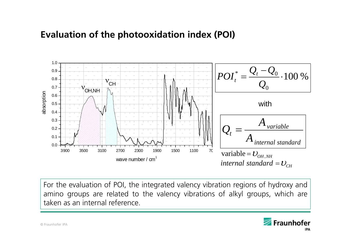# **Evaluation of the photooxidation index (POI)**



For the evaluation of POI, the integrated valency vibration regions of hydroxy and amino groups are related to the valency vibrations of alkyl groups, which are taken as an internal reference.

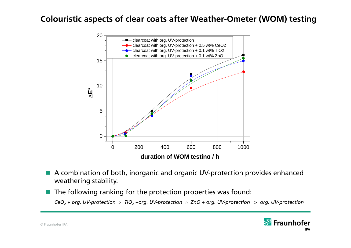### **Colouristic aspects of clear coats after Weather-Ometer (WOM) testing**



- A combination of both, inorganic and organic UV-protection provides enhanced weathering stability.
- $\blacksquare$  The following ranking for the protection properties was found:

 $\mathsf{CeO}_2$  + org. UV-protection  $>$  TiO $_2$  +org. UV-protection  $\approx$  ZnO + org. UV-protection  $>$  org. UV-protection

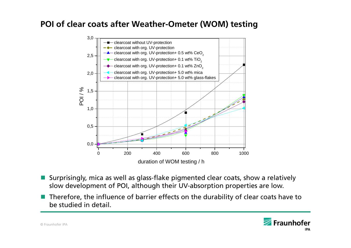### **POI of clear coats after Weather-Ometer (WOM) testing**



- **Surprisingly, mica as well as glass-flake pigmented clear coats, show a relatively** slow development of POI, although their UV-absorption properties are low.
- Therefore, the influence of barrier effects on the durability of clear coats have to be studied in detail.

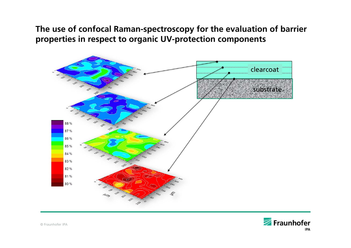## **The use of confocal Raman-spectroscopy for the evaluation of barrier properties in respect to organic UV-protection components**



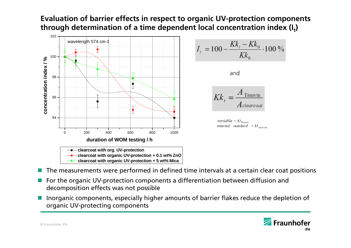#### **Evaluation of barrier effects in respect to organic UV-protection components**  through determination of a time dependent local concentration index (I<sub>t</sub>)



- F. The measurements were performed in defined time intervals at a certain clear coat positions
- F. For the organic UV-protection components a differentiation between diffusion and decomposition effects was not possible
- F Inorganic components, especially higher amounts of barrier flakes reduce the depletion of organic UV-protecting components

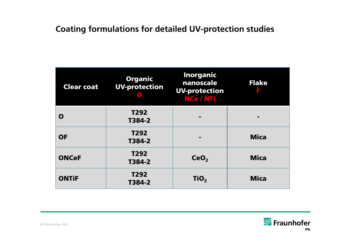# **Coating formulations for detailed UV-protection studies**

| <b>Clear coat</b> | <b>Organic</b><br><b>UV-protection</b> | <b>Inorganic</b><br>nanoscale<br><b>UV-protection</b><br><b>NCe / NTi</b> | <b>Flake</b><br>F |
|-------------------|----------------------------------------|---------------------------------------------------------------------------|-------------------|
| O                 | T <sub>292</sub><br>T384-2             |                                                                           |                   |
| <b>OF</b>         | T292<br>T384-2                         |                                                                           | <b>Mica</b>       |
| <b>ONCeF</b>      | T292<br>T384-2                         | CeO <sub>2</sub>                                                          | <b>Mica</b>       |
| <b>ONTIF</b>      | T292<br>T384-2                         | TiO <sub>2</sub>                                                          | <b>Mica</b>       |

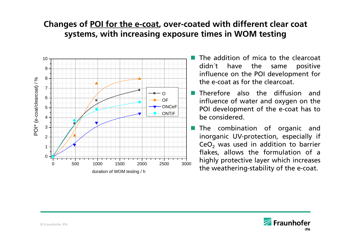# **Changes of POI for the e-coat, over-coated with different clear coat systems, with increasing exposure times in WOM testing**



- $\Box$  The addition of mica to the clearcoat didn´t have the same positive influence on the POI development for the e-coat as for the clearcoat.
- **Therefore also the diffusion and** influence of water and oxygen on the POI development of the e-coat has to be considered.
	- The combination of organic and inorganic UV-protection, especially if CeO $_2$  was used in addition to barrier flakes, allows the formulation of <sup>a</sup> highly protective layer which increases the weathering-stability of the e-coat.

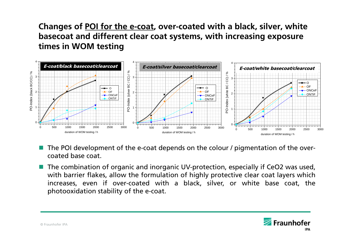# **Changes of POI for the e-coat, over-coated with a black, silver, white basecoat and different clear coat systems, with increasing exposure times in WOM testing**



- m. The POI development of the e-coat depends on the colour / pigmentation of the overcoated base coat.
- The combination of organic and inorganic UV-protection, especially if CeO2 was used, with barrier flakes, allow the formulation of highly protective clear coat layers which increases, even if over-coated with <sup>a</sup> black, silver, or white base coat, the photooxidation stability of the e-coat.

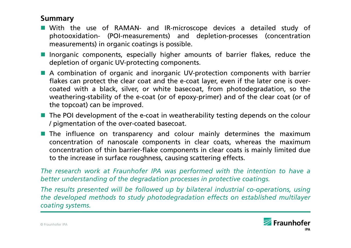#### **Summary**

- With the use of RAMAN- and IR-microscope devices <sup>a</sup> detailed study of photooxidation- (POI-measurements) and depletion-processes (concentration measurements) in organic coatings is possible.
- **I** Inorganic components, especially higher amounts of barrier flakes, reduce the depletion of organic UV-protecting components.
- A combination of organic and inorganic UV-protection components with barrier flakes can protect the clear coat and the e-coat layer, even if the later one is overcoated with <sup>a</sup> black, silver, or white basecoat, from photodegradation, so the weathering-stability of the e-coat (or of epoxy-primer) and of the clear coat (or of the topcoat) can be improved.
- **The POI development of the e-coat in weatherability testing depends on the colour** / pigmentation of the over-coated basecoat.
- **The influence on transparency and colour mainly determines the maximum** concentration of nanoscale components in clear coats, whereas the maximum concentration of thin barrier-flake components in clear coats is mainly limited due to the increase in surface roughness, causing scattering effects.

The research work at Fraunhofer IPA was performed with the intention to have a *better understanding of the degradation processes in protective coatings.*

The results presented will be followed up by bilateral industrial co-operations, using *the developed methods to study photodegradation effects on established multilayer coating systems.*

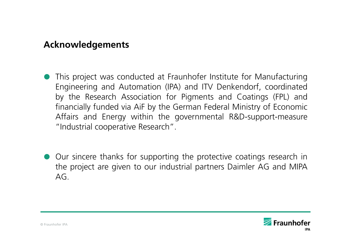# **Acknowledgements**

- This project was conducted at Fraunhofer Institute for Manufacturing Engineering and Automation (IPA) and ITV Denkendorf, coordinated by the Research Association for Pigments and Coatings (FPL) and financially funded via AiF by the German Federal Ministry of Economic Affairs and Energy within the governmental R&D-support-measure "Industrial cooperative Research".
- Our sincere thanks for supporting the protective coatings research in the project are given to our industrial partners Daimler AG and MIPA  $AG$